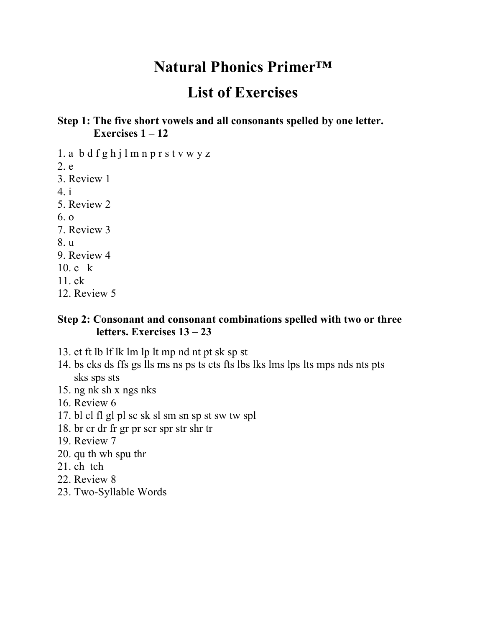## **Natural Phonics Primer™**

# **List of Exercises**

#### **Step 1: The five short vowels and all consonants spelled by one letter. Exercises 1 – 12**

1. a b d f g h j l m n p r s t v w y z 2. e 3. Review 1 4. i 5. Review 2 6. o 7. Review 3 8. u 9. Review 4 10. c k 11. ck 12. Review 5

#### **Step 2: Consonant and consonant combinations spelled with two or three letters. Exercises 13 – 23**

- 13. ct ft lb lf lk lm lp lt mp nd nt pt sk sp st
- 14. bs cks ds ffs gs lls ms ns ps ts cts fts lbs lks lms lps lts mps nds nts pts sks sps sts
- 15. ng nk sh x ngs nks
- 16. Review 6
- 17. bl cl fl gl pl sc sk sl sm sn sp st sw tw spl
- 18. br cr dr fr gr pr scr spr str shr tr
- 19. Review 7
- 20. qu th wh spu thr
- 21. ch tch
- 22. Review 8
- 23. Two-Syllable Words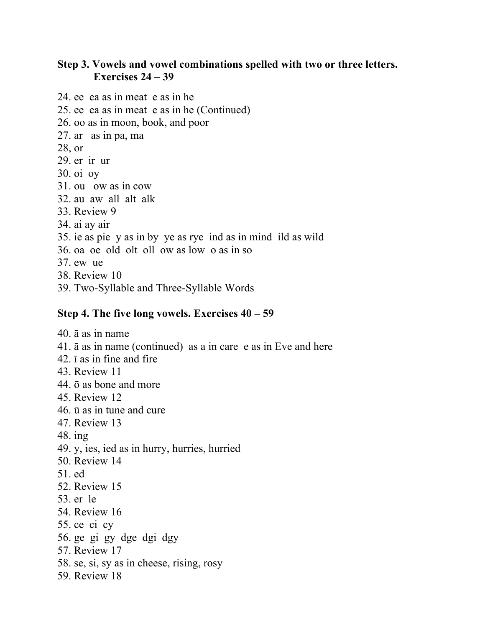#### **Step 3. Vowels and vowel combinations spelled with two or three letters. Exercises 24 – 39**

- 24. ee ea as in meat e as in he
- 25. ee ea as in meat e as in he (Continued)
- 26. oo as in moon, book, and poor
- 27. ar as in pa, ma
- 28, or
- 29. er ir ur
- 30. oi oy
- 31. ou ow as in cow
- 32. au aw all alt alk
- 33. Review 9
- 34. ai ay air
- 35. ie as pie y as in by ye as rye ind as in mind ild as wild
- 36. oa oe old olt oll ow as low o as in so
- 37. ew ue
- 38. Review 10
- 39. Two-Syllable and Three-Syllable Words

#### **Step 4. The five long vowels. Exercises 40 – 59**

40. ā as in name 41. ā as in name (continued) as a in care e as in Eve and here 42. ī as in fine and fire 43. Review 11 44. ō as bone and more 45. Review 12 46. ū as in tune and cure 47. Review 13 48. ing 49. y, ies, ied as in hurry, hurries, hurried 50. Review 14 51. ed 52. Review 15 53. er le 54. Review 16 55. ce ci cy 56. ge gi gy dge dgi dgy 57. Review 17 58. se, si, sy as in cheese, rising, rosy 59. Review 18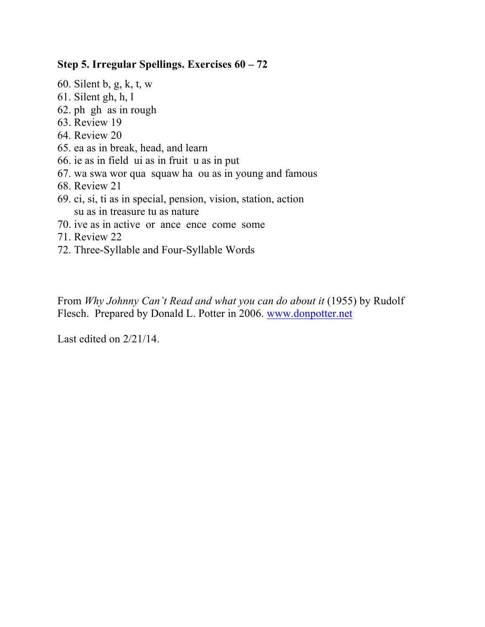#### **Step 5. Irregular Spellings. Exercises 60 – 72**

- 60. Silent b, g, k, t, w
- 61. Silent gh, h, l
- 62. ph gh as in rough
- 63. Review 19
- 64. Review 20
- 65. ea as in break, head, and learn
- 66. ie as in field ui as in fruit u as in put
- 67. wa swa wor qua squaw ha ou as in young and famous
- 68. Review 21
- 69. ci, si, ti as in special, pension, vision, station, action su as in treasure tu as nature
- 70. ive as in active or ance ence come some
- 71. Review 22
- 72. Three-Syllable and Four-Syllable Words

From *Why Johnny Can't Read and what you can do about it* (1955) by Rudolf Flesch. Prepared by Donald L. Potter in 2006. www.donpotter.net

Last edited on 2/21/14.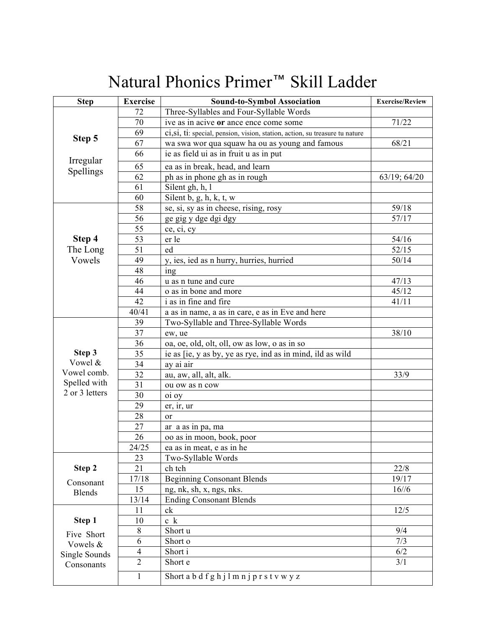# Natural Phonics Primer™ Skill Ladder

| <b>Step</b>        | <b>Exercise</b> | <b>Sound-to-Symbol Association</b>                                           | <b>Exercise/Review</b> |
|--------------------|-----------------|------------------------------------------------------------------------------|------------------------|
| Step 5             | 72              | Three-Syllables and Four-Syllable Words                                      |                        |
|                    | 70              | ive as in acive or ance ence come some                                       | 71/22                  |
|                    | 69              | ci, si, ti: special, pension, vision, station, action, su treasure tu nature |                        |
|                    | 67              | wa swa wor qua squaw ha ou as young and famous                               | 68/21                  |
|                    | 66              | ie as field ui as in fruit u as in put                                       |                        |
| Irregular          | 65              | ea as in break, head, and learn                                              |                        |
| Spellings          | 62              | ph as in phone gh as in rough                                                | 63/19; 64/20           |
|                    | 61              | Silent gh, h, l                                                              |                        |
|                    | 60              | Silent $b$ , $g$ , $h$ , $k$ , $t$ , $w$                                     |                        |
|                    | 58              | se, si, sy as in cheese, rising, rosy                                        | 59/18                  |
|                    | 56              | ge gig y dge dgi dgy                                                         | 57/17                  |
|                    | 55              | ce, ci, cy                                                                   |                        |
| Step 4             | 53              | er le                                                                        | 54/16                  |
| The Long<br>Vowels | 51              | ed                                                                           | 52/15                  |
|                    | 49              | y, ies, ied as n hurry, hurries, hurried                                     | 50/14                  |
|                    | 48              | ing                                                                          |                        |
|                    | 46              | u as n tune and cure                                                         | 47/13                  |
|                    | 44              | o as in bone and more                                                        | 45/12                  |
|                    | 42              | i as in fine and fire                                                        | 41/11                  |
|                    | 40/41           | a as in name, a as in care, e as in Eve and here                             |                        |
| Step 3             | 39              | Two-Syllable and Three-Syllable Words                                        |                        |
|                    | 37              | ew, ue                                                                       | 38/10                  |
|                    | 36              | oa, oe, old, olt, oll, ow as low, o as in so                                 |                        |
|                    | 35              | ie as [ie, y as by, ye as rye, ind as in mind, ild as wild                   |                        |
| Vowel &            | 34              | ay ai air                                                                    |                        |
| Vowel comb.        | 32              | au, aw, all, alt, alk.                                                       | 33/9                   |
| Spelled with       | 31              | ou ow as n cow                                                               |                        |
| 2 or 3 letters     | 30              | oi oy                                                                        |                        |
|                    | 29              | er, ir, ur                                                                   |                        |
|                    | 28              | or                                                                           |                        |
|                    | 27              | ar a as in pa, ma                                                            |                        |
|                    | 26              | oo as in moon, book, poor                                                    |                        |
|                    | 24/25           | ea as in meat, e as in he                                                    |                        |
|                    | 23              | Two-Syllable Words                                                           |                        |
| Step 2             | 21              | ch tch                                                                       | 22/8                   |
| Consonant          | 17/18           | <b>Beginning Consonant Blends</b>                                            | 19/17                  |
| <b>Blends</b>      | 15              | ng, nk, sh, x, ngs, nks.                                                     | 16/6                   |
|                    | 13/14           | <b>Ending Consonant Blends</b>                                               |                        |
|                    | 11              | ck                                                                           | 12/5                   |
| Step 1             | 10              | c k                                                                          |                        |
| Five Short         | 8               | Short u                                                                      | 9/4                    |
| Vowels &           | 6               | Short o                                                                      | 7/3                    |
| Single Sounds      | $\overline{4}$  | Short i                                                                      | 6/2                    |
| Consonants         | $\overline{2}$  | Short e                                                                      | 3/1                    |
|                    | $\mathbf{1}$    | Short a b d f g h j l m n j p r s t v w y z                                  |                        |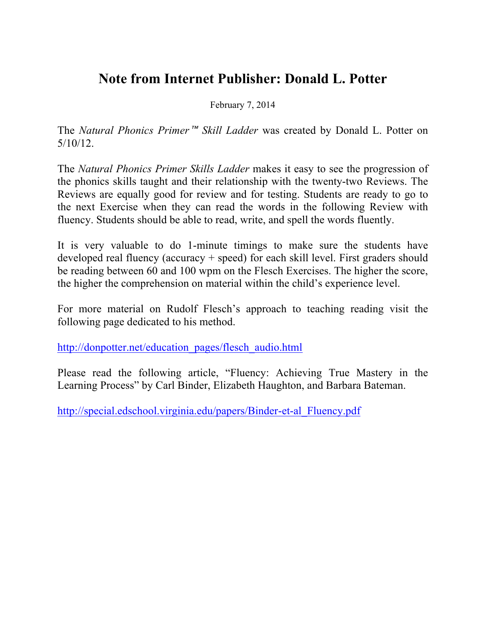## **Note from Internet Publisher: Donald L. Potter**

February 7, 2014

The *Natural Phonics Primer*™ *Skill Ladder* was created by Donald L. Potter on 5/10/12.

The *Natural Phonics Primer Skills Ladder* makes it easy to see the progression of the phonics skills taught and their relationship with the twenty-two Reviews. The Reviews are equally good for review and for testing. Students are ready to go to the next Exercise when they can read the words in the following Review with fluency. Students should be able to read, write, and spell the words fluently.

It is very valuable to do 1-minute timings to make sure the students have developed real fluency (accuracy + speed) for each skill level. First graders should be reading between 60 and 100 wpm on the Flesch Exercises. The higher the score, the higher the comprehension on material within the child's experience level.

For more material on Rudolf Flesch's approach to teaching reading visit the following page dedicated to his method.

http://donpotter.net/education\_pages/flesch\_audio.html

Please read the following article, "Fluency: Achieving True Mastery in the Learning Process" by Carl Binder, Elizabeth Haughton, and Barbara Bateman.

http://special.edschool.virginia.edu/papers/Binder-et-al\_Fluency.pdf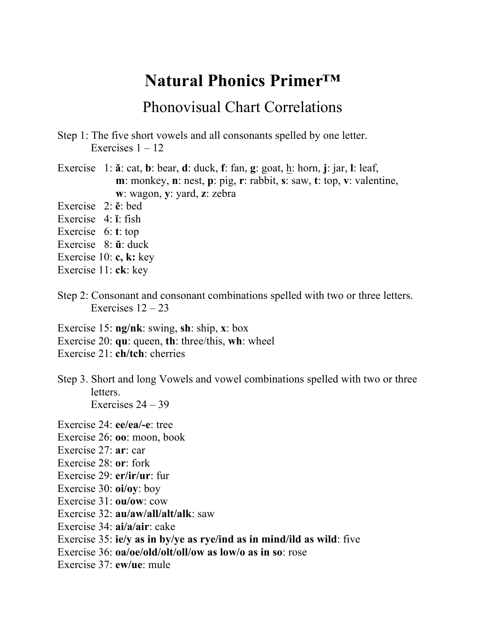## **Natural Phonics Primer™**

## Phonovisual Chart Correlations

- Step 1: The five short vowels and all consonants spelled by one letter. Exercises  $1 - 12$
- Exercise 1: **ă**: cat, **b**: bear, **d**: duck, **f**: fan, **g**: goat, h: horn, **j**: jar, **l**: leaf, **m**: monkey, **n**: nest, **p**: pig, **r**: rabbit, **s**: saw, **t**: top, **v**: valentine, **w**: wagon, **y**: yard, **z**: zebra
- Exercise 2: **ĕ**: bed
- Exercise 4: **ĭ**: fish
- Exercise 6: **t**: top
- Exercise 8: **ŭ**: duck
- Exercise 10: **c, k:** key
- Exercise 11: **ck**: key
- Step 2: Consonant and consonant combinations spelled with two or three letters. Exercises  $12 - 23$
- Exercise 15: **ng/nk**: swing, **sh**: ship, **x**: box
- Exercise 20: **qu**: queen, **th**: three/this, **wh**: wheel
- Exercise 21: **ch/tch**: cherries
- Step 3. Short and long Vowels and vowel combinations spelled with two or three letters. Exercises  $24 - 39$
- Exercise 24: **ee/ea/-e**: tree
- Exercise 26: **oo**: moon, book
- Exercise 27: **ar**: car
- Exercise 28: **or**: fork
- Exercise 29: **er/ir/ur**: fur
- Exercise 30: **oi/oy**: boy
- Exercise 31: **ou/ow**: cow
- Exercise 32: **au/aw/all/alt/alk**: saw
- Exercise 34: **ai/a/air**: cake
- Exercise 35: **ie/y as in by/ye as rye/ind as in mind/ild as wild**: five
- Exercise 36: **oa/oe/old/olt/oll/ow as low/o as in so**: rose
- Exercise 37: **ew/ue**: mule